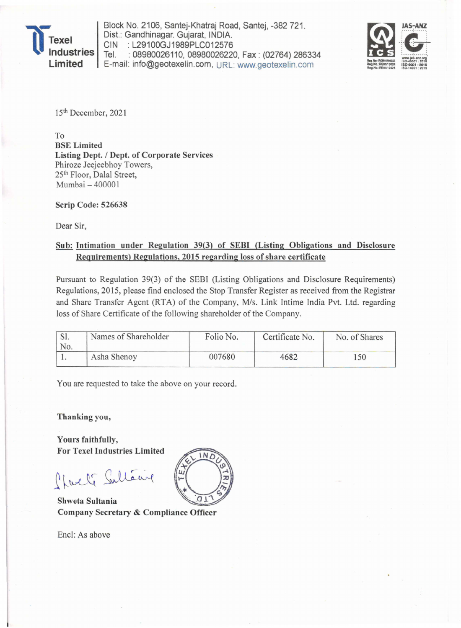

Block No. 2106, Santej-Khatraj Road, Santej, -382 721 . Dist.: Gandhinagar. Gujarat, INDIA. CIN : L29100GJ1989PLC012576<br>Tel. : 08980026110, 08980026220 As: No. 2106, Santej-Khatraj Road, Santej, -382 721.<br>2. E29100GJ1989PLC012576<br>2. 08980026110, 08980026220, Fax : (02764) 286334 E-mail: info@geotexelin.com , URL: www.geotexelin.com



15th December, 2021

To BSE Limited Listing Dept. / Dept. of Corporate Services Phiroze Jeejeebhoy Towers, 25th Floor, Dalal Street, Mumbai - 400001

Scrip Code: 526638

Dear Sir,

## Sub: Intimation under Regulation 39(3) of SEBI (Listing Obligations and Disclosure Requirements) Regulations, 2015 regarding loss of share certificate

Pursuant to Regulation 39(3) of the SEBI (Listing Obligations and Disclosure Requirements) Regulations, 2015, please find enclosed the Stop Transfer Register as received from the Registrar and Share Transfer Agent (RTA) of the Company, *Mis.* Link Intime India Pvt. Ltd. regarding loss of Share Certificate of the following shareholder of the Company.

|     | Names of Shareholder | Folio No. | Certificate No. | No. of Shares |  |
|-----|----------------------|-----------|-----------------|---------------|--|
| No. |                      |           |                 |               |  |
|     | Asha Shenoy          | 007680    | 4682            | 150           |  |

You are requested to take the above on your record.

Thanking you,

Yours faithfully, For Texel Industries Limited

Sharly Sultaing

Shweta Sultania Company Secretary & Compliance Officer

Encl: As above